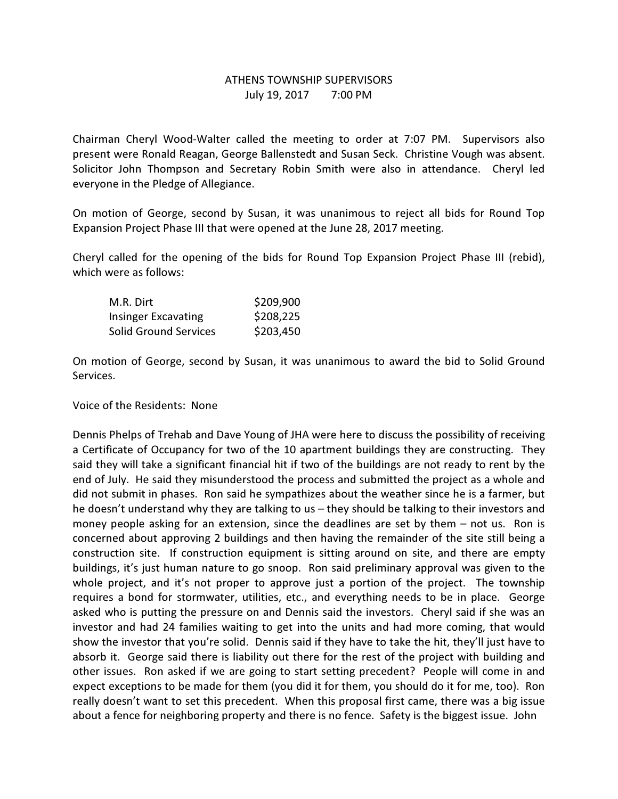## ATHENS TOWNSHIP SUPERVISORS July 19, 2017 7:00 PM

Chairman Cheryl Wood-Walter called the meeting to order at 7:07 PM. Supervisors also present were Ronald Reagan, George Ballenstedt and Susan Seck. Christine Vough was absent. Solicitor John Thompson and Secretary Robin Smith were also in attendance. Cheryl led everyone in the Pledge of Allegiance.

On motion of George, second by Susan, it was unanimous to reject all bids for Round Top Expansion Project Phase III that were opened at the June 28, 2017 meeting.

Cheryl called for the opening of the bids for Round Top Expansion Project Phase III (rebid), which were as follows:

| M.R. Dirt                    | \$209,900 |
|------------------------------|-----------|
| <b>Insinger Excavating</b>   | \$208,225 |
| <b>Solid Ground Services</b> | \$203,450 |

On motion of George, second by Susan, it was unanimous to award the bid to Solid Ground Services.

Voice of the Residents: None

Dennis Phelps of Trehab and Dave Young of JHA were here to discuss the possibility of receiving a Certificate of Occupancy for two of the 10 apartment buildings they are constructing. They said they will take a significant financial hit if two of the buildings are not ready to rent by the end of July. He said they misunderstood the process and submitted the project as a whole and did not submit in phases. Ron said he sympathizes about the weather since he is a farmer, but he doesn't understand why they are talking to us – they should be talking to their investors and money people asking for an extension, since the deadlines are set by them – not us. Ron is concerned about approving 2 buildings and then having the remainder of the site still being a construction site. If construction equipment is sitting around on site, and there are empty buildings, it's just human nature to go snoop. Ron said preliminary approval was given to the whole project, and it's not proper to approve just a portion of the project. The township requires a bond for stormwater, utilities, etc., and everything needs to be in place. George asked who is putting the pressure on and Dennis said the investors. Cheryl said if she was an investor and had 24 families waiting to get into the units and had more coming, that would show the investor that you're solid. Dennis said if they have to take the hit, they'll just have to absorb it. George said there is liability out there for the rest of the project with building and other issues. Ron asked if we are going to start setting precedent? People will come in and expect exceptions to be made for them (you did it for them, you should do it for me, too). Ron really doesn't want to set this precedent. When this proposal first came, there was a big issue about a fence for neighboring property and there is no fence. Safety is the biggest issue. John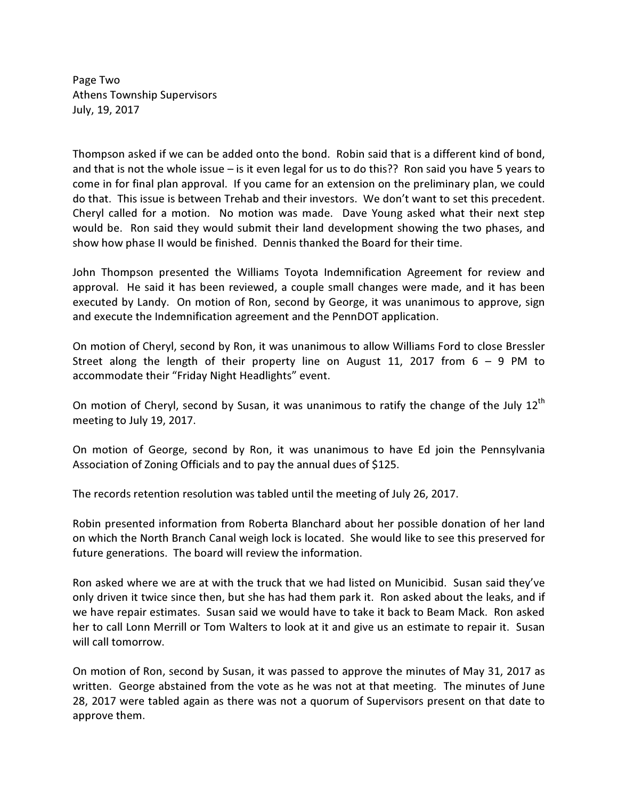Page Two Athens Township Supervisors July, 19, 2017

Thompson asked if we can be added onto the bond. Robin said that is a different kind of bond, and that is not the whole issue – is it even legal for us to do this?? Ron said you have 5 years to come in for final plan approval. If you came for an extension on the preliminary plan, we could do that. This issue is between Trehab and their investors. We don't want to set this precedent. Cheryl called for a motion. No motion was made. Dave Young asked what their next step would be. Ron said they would submit their land development showing the two phases, and show how phase II would be finished. Dennis thanked the Board for their time.

John Thompson presented the Williams Toyota Indemnification Agreement for review and approval. He said it has been reviewed, a couple small changes were made, and it has been executed by Landy. On motion of Ron, second by George, it was unanimous to approve, sign and execute the Indemnification agreement and the PennDOT application.

On motion of Cheryl, second by Ron, it was unanimous to allow Williams Ford to close Bressler Street along the length of their property line on August 11, 2017 from  $6 - 9$  PM to accommodate their "Friday Night Headlights" event.

On motion of Cheryl, second by Susan, it was unanimous to ratify the change of the July  $12^{th}$ meeting to July 19, 2017.

On motion of George, second by Ron, it was unanimous to have Ed join the Pennsylvania Association of Zoning Officials and to pay the annual dues of \$125.

The records retention resolution was tabled until the meeting of July 26, 2017.

Robin presented information from Roberta Blanchard about her possible donation of her land on which the North Branch Canal weigh lock is located. She would like to see this preserved for future generations. The board will review the information.

Ron asked where we are at with the truck that we had listed on Municibid. Susan said they've only driven it twice since then, but she has had them park it. Ron asked about the leaks, and if we have repair estimates. Susan said we would have to take it back to Beam Mack. Ron asked her to call Lonn Merrill or Tom Walters to look at it and give us an estimate to repair it. Susan will call tomorrow.

On motion of Ron, second by Susan, it was passed to approve the minutes of May 31, 2017 as written. George abstained from the vote as he was not at that meeting. The minutes of June 28, 2017 were tabled again as there was not a quorum of Supervisors present on that date to approve them.